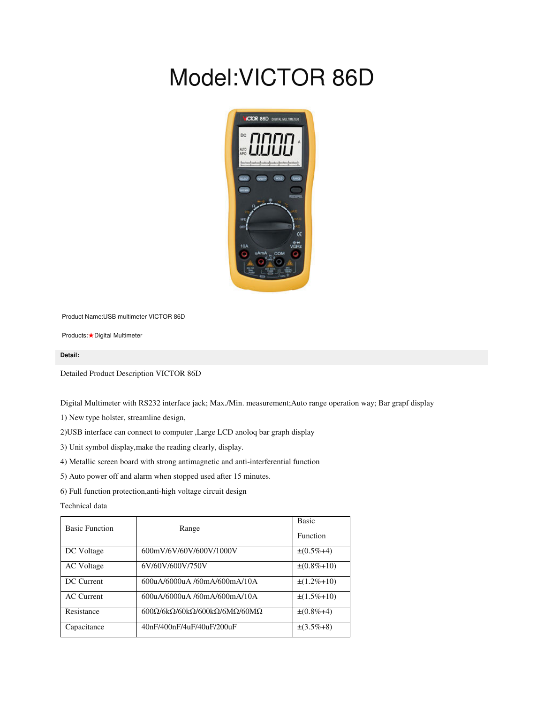## Model:VICTOR 86D



Product Name:USB multimeter VICTOR 86D

Products:★Digital Multimeter

## **Detail:**

Detailed Product Description VICTOR 86D

Digital Multimeter with RS232 interface jack; Max./Min. measurement;Auto range operation way; Bar grapf display

1) New type holster, streamline design,

2)USB interface can connect to computer ,Large LCD anoloq bar graph display

3) Unit symbol display,make the reading clearly, display.

4) Metallic screen board with strong antimagnetic and anti-interferential function

5) Auto power off and alarm when stopped used after 15 minutes.

6) Full function protection,anti-high voltage circuit design

Technical data

| <b>Basic Function</b> | Range                                                        | <b>Basic</b><br><b>Function</b> |
|-----------------------|--------------------------------------------------------------|---------------------------------|
| DC Voltage            | 600mV/6V/60V/600V/1000V                                      | $\pm(0.5\% + 4)$                |
| <b>AC</b> Voltage     | 6V/60V/600V/750V                                             | $\pm(0.8\% + 10)$               |
| DC Current            | 600uA/6000uA /60mA/600mA/10A                                 | $\pm(1.2\% + 10)$               |
| <b>AC</b> Current     | 600uA/6000uA /60mA/600mA/10A                                 | $\pm(1.5\% + 10)$               |
| Resistance            | $600\Omega/6k\Omega/60k\Omega/600k\Omega/6M\Omega/60M\Omega$ | $\pm(0.8\% + 4)$                |
| Capacitance           | 40nF/400nF/4uF/40uF/200uF                                    | $\pm(3.5\% + 8)$                |